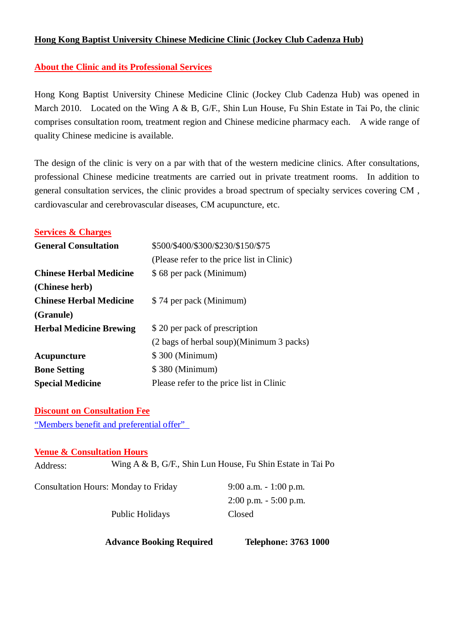## **Hong Kong Baptist University Chinese Medicine Clinic (Jockey Club Cadenza Hub)**

## **About the Clinic and its Professional Services**

Hong Kong Baptist University Chinese Medicine Clinic (Jockey Club Cadenza Hub) was opened in March 2010. Located on the Wing A & B, G/F., Shin Lun House, Fu Shin Estate in Tai Po, the clinic comprises consultation room, treatment region and Chinese medicine pharmacy each. A wide range of quality Chinese medicine is available.

The design of the clinic is very on a par with that of the western medicine clinics. After consultations, professional Chinese medicine treatments are carried out in private treatment rooms. In addition to general consultation services, the clinic provides a broad spectrum of specialty services covering CM , cardiovascular and cerebrovascular diseases, CM acupuncture, etc.

| <b>Services &amp; Charges</b>  |                                            |
|--------------------------------|--------------------------------------------|
| <b>General Consultation</b>    | \$500/\$400/\$300/\$230/\$150/\$75         |
|                                | (Please refer to the price list in Clinic) |
| <b>Chinese Herbal Medicine</b> | \$68 per pack (Minimum)                    |
| (Chinese herb)                 |                                            |
| <b>Chinese Herbal Medicine</b> | \$74 per pack (Minimum)                    |
| (Granule)                      |                                            |
| <b>Herbal Medicine Brewing</b> | \$20 per pack of prescription              |
|                                | (2 bags of herbal soup)(Minimum 3 packs)   |
| Acupuncture                    | \$300 (Minimum)                            |
| <b>Bone Setting</b>            | \$380 (Minimum)                            |
| <b>Special Medicine</b>        | Please refer to the price list in Clinic   |

**Discount on Consultation Fee** "Members benefit and preferential offer"

## **Venue & Consultation Hours**

Address: Wing A & B, G/F., Shin Lun House, Fu Shin Estate in Tai Po

Consultation Hours: Monday to Friday 9:00 a.m. - 1:00 p.m.

Public Holidays Closed

2:00 p.m. - 5:00 p.m.

 **Advance Booking Required Telephone: 3763 1000**